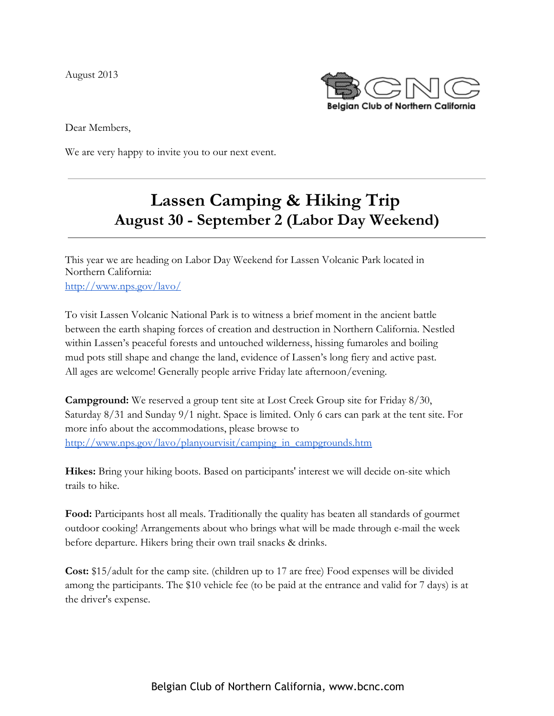August 2013



Dear Members,

We are very happy to invite you to our next event.

# **Lassen Camping & Hiking Trip August 30 - September 2 (Labor Day Weekend)**

This year we are heading on Labor Day Weekend for Lassen Volcanic Park located in Northern California: [http://www.nps.gov/lavo/](http://www.google.com/url?q=http%3A%2F%2Fwww.nps.gov%2Flavo%2F&sa=D&sntz=1&usg=AFQjCNHI1-Db6NYIYeGVqGLq3RzZ6TfRTA)

To visit Lassen Volcanic National Park is to witness a brief moment in the ancient battle between the earth shaping forces of creation and destruction in Northern California. Nestled within Lassen's peaceful forests and untouched wilderness, hissing fumaroles and boiling mud pots still shape and change the land, evidence of Lassen's long fiery and active past. All ages are welcome! Generally people arrive Friday late afternoon/evening.

**Campground:** We reserved a group tent site at Lost Creek Group site for Friday 8/30, Saturday 8/31 and Sunday 9/1 night. Space is limited. Only 6 cars can park at the tent site. For more info about the accommodations, please browse to [http://www.nps.gov/lavo/planyourvisit/camping\\_in\\_campgrounds.htm](http://www.google.com/url?q=http%3A%2F%2Fwww.nps.gov%2Flavo%2Fplanyourvisit%2Fcamping_in_campgrounds.htm&sa=D&sntz=1&usg=AFQjCNHf5VnR4pXHAMQM8l9E-boLL3VQ4g)

**Hikes:** Bring your hiking boots. Based on participants' interest we will decide on-site which trails to hike.

**Food:** Participants host all meals. Traditionally the quality has beaten all standards of gourmet outdoor cooking! Arrangements about who brings what will be made through e-mail the week before departure. Hikers bring their own trail snacks & drinks.

**Cost:** \$15/adult for the camp site. (children up to 17 are free) Food expenses will be divided among the participants. The \$10 vehicle fee (to be paid at the entrance and valid for 7 days) is at the driver's expense.